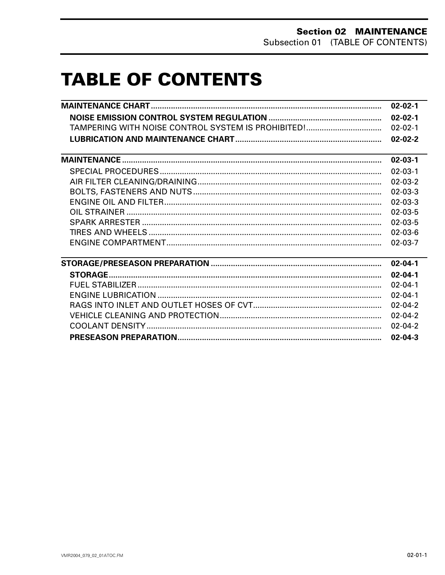## **TABLE OF CONTENTS**

|                                                    | $02 - 02 - 1$ |
|----------------------------------------------------|---------------|
|                                                    | $02 - 02 - 1$ |
| TAMPERING WITH NOISE CONTROL SYSTEM IS PROHIBITED! | $02 - 02 - 1$ |
|                                                    | $02 - 02 - 2$ |
| <u> 1989 - Jan Salaman Salaman (j. 1989)</u>       | $02 - 03 - 1$ |
|                                                    | $02 - 03 - 1$ |
|                                                    | $02 - 03 - 2$ |
|                                                    | $02 - 03 - 3$ |
|                                                    | $02 - 03 - 3$ |
|                                                    | $02 - 03 - 5$ |
|                                                    | $02 - 03 - 5$ |
|                                                    | $02 - 03 - 6$ |
|                                                    | $02 - 03 - 7$ |
|                                                    | $02 - 04 - 1$ |
|                                                    | $02 - 04 - 1$ |
|                                                    | $02 - 04 - 1$ |
|                                                    | $02 - 04 - 1$ |
|                                                    | $02 - 04 - 2$ |
|                                                    | $02 - 04 - 2$ |
|                                                    | $02 - 04 - 2$ |
|                                                    | $02 - 04 - 3$ |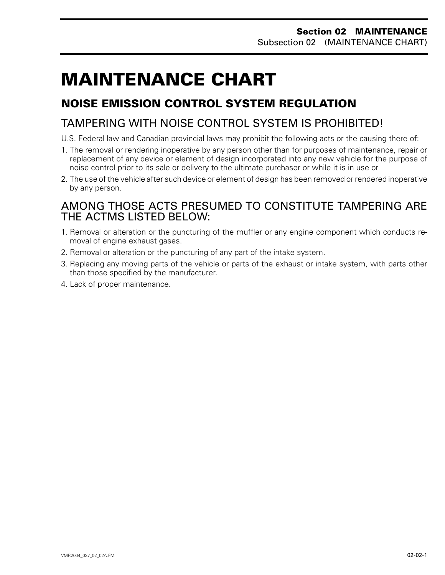## <span id="page-1-0"></span>**MAINTENANCE CHART 0**

### **NOISE EMISSION CONTROL SYSTEM REGULATION**

### TAMPERING WITH NOISE CONTROL SYSTEM IS PROHIBITED!

- U.S. Federal law and Canadian provincial laws may prohibit the following acts or the causing there of:
- 1. The removal or rendering inoperative by any person other than for purposes of maintenance, repair or replacement of any device or element of design incorporated into any new vehicle for the purpose of noise control prior to its sale or delivery to the ultimate purchaser or while it is in use or
- 2. The use of the vehicle after such device or element of design has been removed or rendered inoperative by any person.

### AMONG THOSE ACTS PRESUMED TO CONSTITUTE TAMPERING ARE THE ACTMS LISTED BELOW:

- 1. Removal or alteration or the puncturing of the muffler or any engine component which conducts removal of engine exhaust gases.
- 2. Removal or alteration or the puncturing of any part of the intake system.
- 3. Replacing any moving parts of the vehicle or parts of the exhaust or intake system, with parts other than those specified by the manufacturer.
- 4. Lack of proper maintenance.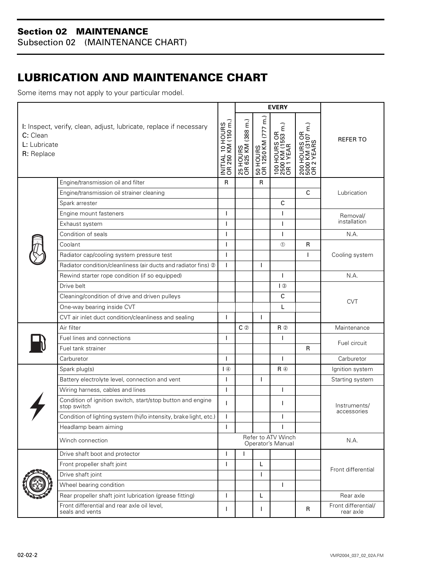<span id="page-2-0"></span>Subsection 02 (MAINTENANCE CHART)

### **LUBRICATION AND MAINTENANCE CHART**

Some items may not apply to your particular model.

|                                        |                                                                           |                                        | <b>EVERY</b>                   |                                 |                                                    |                                                 |                                  |
|----------------------------------------|---------------------------------------------------------------------------|----------------------------------------|--------------------------------|---------------------------------|----------------------------------------------------|-------------------------------------------------|----------------------------------|
| C: Clean<br>L: Lubricate<br>R: Replace | I: Inspect, verify, clean, adjust, lubricate, replace if necessary        | INITIAL 10 HOURS<br>OR 250 KM (150 m.) | 25 HOURS<br>OR 625 KM (388 m.) | 50 HOURS<br>OR 1250 KM (777 m.) | 100 HOURS OR<br>  2500 KM (1553 m.)<br>  OR 1 YEAR | 200 HOURS OR<br>5000 KM (3107 m.)<br>OR 2 YEARS | <b>REFER TO</b>                  |
|                                        | Engine/transmission oil and filter                                        | $\mathsf{R}$                           |                                | $\mathsf{R}$                    |                                                    |                                                 |                                  |
|                                        | Engine/transmission oil strainer cleaning                                 |                                        |                                |                                 |                                                    | $\mathsf{C}$                                    | Lubrication                      |
|                                        | Spark arrester                                                            |                                        |                                |                                 | $\mathsf{C}$                                       |                                                 |                                  |
|                                        | Engine mount fasteners                                                    | T                                      |                                |                                 | T                                                  |                                                 | Removal/                         |
|                                        | Exhaust system                                                            | T                                      |                                |                                 | T                                                  |                                                 | installation                     |
|                                        | Condition of seals                                                        | T                                      |                                |                                 | ı                                                  |                                                 | N.A.                             |
|                                        | Coolant                                                                   | T                                      |                                |                                 | $^{\circ}$                                         | R                                               |                                  |
|                                        | Radiator cap/cooling system pressure test                                 | T                                      |                                |                                 |                                                    | $\mathsf{L}$                                    | Cooling system                   |
|                                        | Radiator condition/cleanliness (air ducts and radiator fins) 2            | T                                      |                                | T                               |                                                    |                                                 |                                  |
|                                        | Rewind starter rope condition (if so equipped)                            |                                        |                                |                                 | T                                                  |                                                 | N.A.                             |
|                                        | Drive belt                                                                |                                        |                                |                                 | $\sqrt{3}$                                         |                                                 | <b>CVT</b>                       |
|                                        | Cleaning/condition of drive and driven pulleys                            |                                        |                                |                                 | $\mathsf C$                                        |                                                 |                                  |
|                                        | One-way bearing inside CVT                                                |                                        |                                |                                 | L                                                  |                                                 |                                  |
|                                        | CVT air inlet duct condition/cleanliness and sealing                      | ı                                      |                                | $\mathbf{I}$                    |                                                    |                                                 |                                  |
|                                        | Air filter                                                                |                                        | $C$ ②                          |                                 | $R$ $\odot$                                        |                                                 | Maintenance                      |
|                                        | Fuel lines and connections                                                | T                                      |                                |                                 | T                                                  |                                                 | Fuel circuit                     |
|                                        | Fuel tank strainer                                                        |                                        |                                |                                 |                                                    | R                                               |                                  |
|                                        | Carburetor                                                                | T                                      |                                |                                 | $\mathbf{I}$                                       |                                                 | Carburetor                       |
|                                        | Spark plug(s)                                                             | $\overline{4}$                         |                                |                                 | $R$ $\circledA$                                    |                                                 | Ignition system                  |
|                                        | Battery electrolyte level, connection and vent                            | ı                                      |                                | $\mathbf{I}$                    |                                                    |                                                 | Starting system                  |
|                                        | Wiring harness, cables and lines                                          | T                                      |                                |                                 | $\mathbf{I}$                                       |                                                 |                                  |
|                                        | Condition of ignition switch, start/stop button and engine<br>stop switch | T                                      |                                |                                 | T                                                  |                                                 | Instruments/<br>accessories      |
|                                        | Condition of lighting system (hi/lo intensity, brake light, etc.)         | T                                      |                                |                                 | T                                                  |                                                 |                                  |
|                                        | Headlamp beam aiming                                                      |                                        |                                |                                 |                                                    |                                                 |                                  |
|                                        | Refer to ATV Winch<br>Winch connection<br>Operator's Manual               |                                        | N.A.                           |                                 |                                                    |                                                 |                                  |
|                                        | Drive shaft boot and protector                                            | T                                      |                                |                                 |                                                    |                                                 | Front differential               |
|                                        | Front propeller shaft joint                                               | T                                      |                                | L                               |                                                    |                                                 |                                  |
|                                        | Drive shaft joint                                                         |                                        |                                | ı                               |                                                    |                                                 |                                  |
|                                        | Wheel bearing condition                                                   |                                        |                                |                                 | T                                                  |                                                 |                                  |
|                                        | Rear propeller shaft joint lubrication (grease fitting)                   | T                                      |                                | Г                               |                                                    |                                                 | Rear axle                        |
|                                        | Front differential and rear axle oil level,<br>seals and vents            | ı                                      |                                | I.                              |                                                    | R                                               | Front differential/<br>rear axle |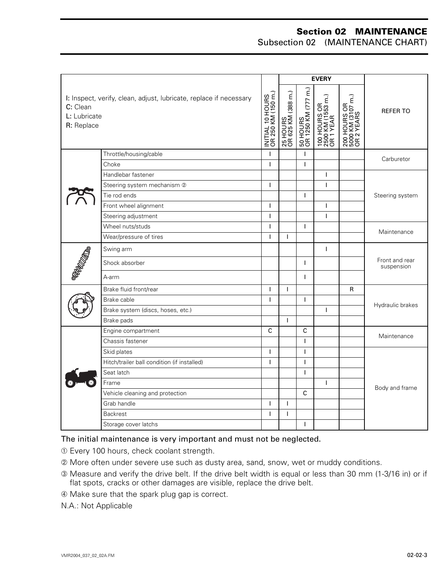Subsection 02 (MAINTENANCE CHART)

|                                        |                                                                    |                                        | <b>EVERY</b>                   |                                 |                                                    |                                                     |                              |
|----------------------------------------|--------------------------------------------------------------------|----------------------------------------|--------------------------------|---------------------------------|----------------------------------------------------|-----------------------------------------------------|------------------------------|
| C: Clean<br>L: Lubricate<br>R: Replace | I: Inspect, verify, clean, adjust, lubricate, replace if necessary | INITIAL 10 HOURS<br>OR 250 KM (150 m.) | 25 HOURS<br>OR 625 KM (388 m.) | 50 HOURS<br>OR 1250 KM (777 m.) | 100 HOURS OR<br>  2500 KM (1553 m.)<br>  OR 1 YEAR | 200 HOURS OR<br>  5000 KM (3107 m.)<br>  OR 2 YEARS | <b>REFER TO</b>              |
|                                        | Throttle/housing/cable                                             | T                                      |                                | T                               |                                                    |                                                     | Carburetor                   |
|                                        | Choke                                                              | T                                      |                                | T                               |                                                    |                                                     |                              |
|                                        | Handlebar fastener                                                 |                                        |                                |                                 | $\mathbf{I}$                                       |                                                     |                              |
|                                        | Steering system mechanism 2                                        | $\overline{1}$                         |                                |                                 | $\mathbf{I}$                                       |                                                     |                              |
|                                        | Tie rod ends                                                       |                                        |                                | $\mathbf{I}$                    |                                                    |                                                     | Steering system              |
|                                        | Front wheel alignment                                              | T                                      |                                |                                 | $\mathbf{I}$                                       |                                                     |                              |
|                                        | Steering adjustment                                                | T                                      |                                |                                 | $\mathbf{I}$                                       |                                                     |                              |
|                                        | Wheel nuts/studs                                                   | I                                      |                                | I.                              |                                                    |                                                     |                              |
|                                        | Wear/pressure of tires                                             | T                                      | T                              |                                 |                                                    |                                                     | Maintenance                  |
|                                        | Swing arm                                                          |                                        |                                |                                 | $\mathbf{I}$                                       |                                                     | Front and rear<br>suspension |
| <b>PROTECTION</b>                      | Shock absorber                                                     |                                        |                                | $\mathbf{I}$                    |                                                    |                                                     |                              |
|                                        | A-arm                                                              |                                        |                                | $\mathbf{I}$                    |                                                    |                                                     |                              |
|                                        | Brake fluid front/rear                                             | $\mathbf{I}$                           | T                              |                                 |                                                    | R                                                   | Hydraulic brakes             |
|                                        | Brake cable                                                        | T                                      |                                | T                               |                                                    |                                                     |                              |
|                                        | Brake system (discs, hoses, etc.)                                  |                                        |                                |                                 | $\mathbf{I}$                                       |                                                     |                              |
|                                        | Brake pads                                                         |                                        | $\mathbf{I}$                   |                                 |                                                    |                                                     |                              |
|                                        | Engine compartment                                                 | $\mathsf{C}$                           |                                | $\mathsf{C}$                    |                                                    |                                                     | Maintenance                  |
|                                        | Chassis fastener                                                   |                                        |                                | $\mathbf{I}$                    |                                                    |                                                     |                              |
|                                        | Skid plates                                                        | T                                      |                                | T                               |                                                    |                                                     | Body and frame               |
|                                        | Hitch/trailer ball condition (if installed)                        | $\mathbf{I}$                           |                                | T                               |                                                    |                                                     |                              |
|                                        | Seat latch                                                         |                                        |                                | $\mathbf{I}$                    |                                                    |                                                     |                              |
|                                        | Frame                                                              |                                        |                                |                                 | $\mathbf{I}$                                       |                                                     |                              |
|                                        | Vehicle cleaning and protection                                    |                                        |                                | C                               |                                                    |                                                     |                              |
|                                        | Grab handle                                                        | I                                      | I.                             |                                 |                                                    |                                                     |                              |
|                                        | <b>Backrest</b>                                                    | $\mathbf{I}$                           | I                              |                                 |                                                    |                                                     |                              |
|                                        | Storage cover latchs                                               |                                        |                                | T                               |                                                    |                                                     |                              |

#### The initial maintenance is very important and must not be neglected.

- ➀ Every 100 hours, check coolant strength.
- ➁ More often under severe use such as dusty area, sand, snow, wet or muddy conditions.
- ➂ Measure and verify the drive belt. If the drive belt width is equal or less than 30 mm (1-3/16 in) or if flat spots, cracks or other damages are visible, replace the drive belt.
- ➃ Make sure that the spark plug gap is correct.
- N.A.: Not Applicable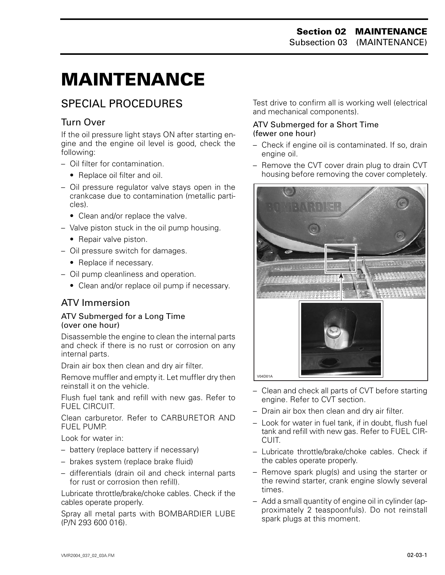# <span id="page-4-0"></span>**MAINTENANCE 0**

### SPECIAL PROCEDURES

### Turn Over

If the oil pressure light stays ON after starting engine and the engine oil level is good, check the following:

- Oil filter for contamination.
	- Replace oil filter and oil.
- Oil pressure regulator valve stays open in the crankcase due to contamination (metallic particles).
	- Clean and/or replace the valve.
- Valve piston stuck in the oil pump housing.
	- Repair valve piston.
- Oil pressure switch for damages.
	- Replace if necessary.
- Oil pump cleanliness and operation.
	- Clean and/or replace oil pump if necessary.

### ATV Immersion

#### ATV Submerged for a Long Time (over one hour)

Disassemble the engine to clean the internal parts and check if there is no rust or corrosion on any internal parts.

Drain air box then clean and dry air filter.

Remove muffler and empty it. Let muffler dry then reinstall it on the vehicle.

Flush fuel tank and refill with new gas. Refer to FUEL CIRCUIT.

Clean carburetor. Refer to CARBURETOR AND FUEL PUMP.

Look for water in:

- battery (replace battery if necessary)
- brakes system (replace brake fluid)
- differentials (drain oil and check internal parts for rust or corrosion then refill).

Lubricate throttle/brake/choke cables. Check if the cables operate properly.

Spray all metal parts with BOMBARDIER LUBE (P/N 293 600 016).

Test drive to confirm all is working well (electrical and mechanical components).

#### ATV Submerged for a Short Time (fewer one hour)

- Check if engine oil is contaminated. If so, drain engine oil.
- Remove the CVT cover drain plug to drain CVT housing before removing the cover completely.



- Clean and check all parts of CVT before starting engine. Refer to CVT section.
- Drain air box then clean and dry air filter.
- Look for water in fuel tank, if in doubt, flush fuel tank and refill with new gas. Refer to FUEL CIR-**CUIT.**
- Lubricate throttle/brake/choke cables. Check if the cables operate properly.
- Remove spark plug(s) and using the starter or the rewind starter, crank engine slowly several times.
- Add a small quantity of engine oil in cylinder (approximately 2 teaspoonfuls). Do not reinstall spark plugs at this moment.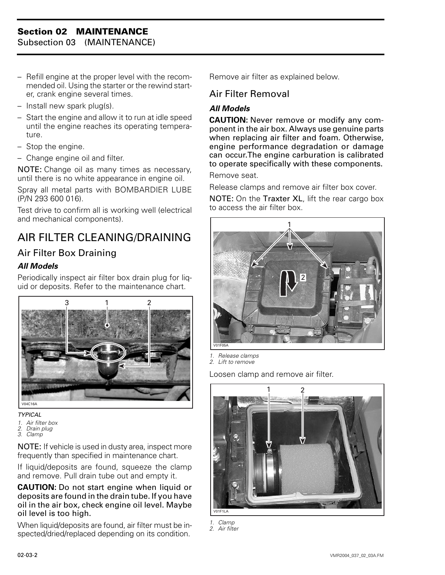<span id="page-5-0"></span>Subsection 03 (MAINTENANCE)

- Refill engine at the proper level with the recommended oil. Using the starter or the rewind starter, crank engine several times.
- Install new spark plug(s).
- Start the engine and allow it to run at idle speed until the engine reaches its operating temperature.
- Stop the engine.
- Change engine oil and filter.

NOTE: Change oil as many times as necessary, until there is no white appearance in engine oil.

Spray all metal parts with BOMBARDIER LUBE (P/N 293 600 016).

Test drive to confirm all is working well (electrical and mechanical components).

## AIR FILTER CLEANING/DRAINING

### Air Filter Box Draining

#### *All Models*

Periodically inspect air filter box drain plug for liquid or deposits. Refer to the maintenance chart.



#### *TYPICAL*

- *1. Air filter box*
- *2. Drain plug 3. Clamp*
- 

NOTE: If vehicle is used in dusty area, inspect more frequently than specified in maintenance chart.

If liquid/deposits are found, squeeze the clamp and remove. Pull drain tube out and empty it.

**CAUTION:** Do not start engine when liquid or deposits are found in the drain tube. If you have oil in the air box, check engine oil level. Maybe oil level is too high.

When liquid/deposits are found, air filter must be inspected/dried/replaced depending on its condition.

Remove air filter as explained below.

#### Air Filter Removal

#### *All Models*

**CAUTION:** Never remove or modify any component in the air box. Always use genuine parts when replacing air filter and foam. Otherwise, engine performance degradation or damage can occur.The engine carburation is calibrated to operate specifically with these components.

Remove seat.

Release clamps and remove air filter box cover.

NOTE: On the Traxter XL, lift the rear cargo box to access the air filter box.



*1. Release clamps*

*2. Lift to remove*

Loosen clamp and remove air filter.



*1. Clamp 2. Air filter*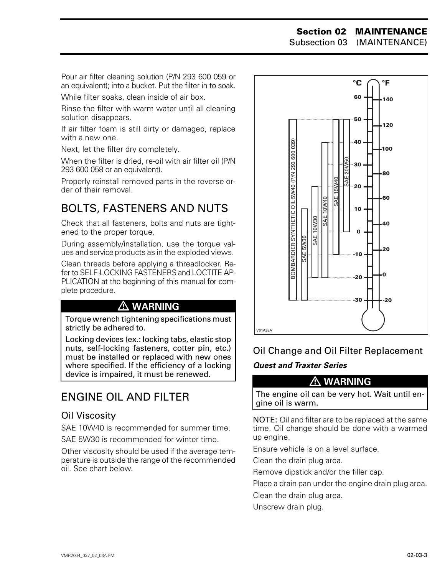Subsection 03 (MAINTENANCE)

<span id="page-6-0"></span>Pour air filter cleaning solution (P/N 293 600 059 or an equivalent); into a bucket. Put the filter in to soak.

While filter soaks, clean inside of air box.

Rinse the filter with warm water until all cleaning solution disappears.

If air filter foam is still dirty or damaged, replace with a new one.

Next, let the filter dry completely.

When the filter is dried, re-oil with air filter oil (P/N 293 600 058 or an equivalent).

Properly reinstall removed parts in the reverse order of their removal.

### BOLTS, FASTENERS AND NUTS

Check that all fasteners, bolts and nuts are tightened to the proper torque.

During assembly/installation, use the torque values and service products as in the exploded views.

Clean threads before applying a threadlocker. Refer to SELF-LOCKING FASTENERS and LOCTITE AP-PLICATION at the beginning of this manual for complete procedure.

### **WARNING**

Torque wrench tightening specifications must strictly be adhered to.

Locking devices (ex.: locking tabs, elastic stop nuts, self-locking fasteners, cotter pin, etc.) must be installed or replaced with new ones where specified. If the efficiency of a locking device is impaired, it must be renewed.  **WARNING**

### ENGINE OIL AND FILTER

#### Oil Viscosity

SAE 10W40 is recommended for summer time.

SAE 5W30 is recommended for winter time.

Other viscosity should be used if the average temperature is outside the range of the recommended oil. See chart below.



### Oil Change and Oil Filter Replacement

#### *Quest and Traxter Series*

The engine oil can be very hot. Wait until engine oil is warm.

NOTE: Oil and filter are to be replaced at the same time. Oil change should be done with a warmed up engine.

Ensure vehicle is on a level surface.

Clean the drain plug area.

Remove dipstick and/or the filler cap.

Place a drain pan under the engine drain plug area.

Clean the drain plug area.

Unscrew drain plug.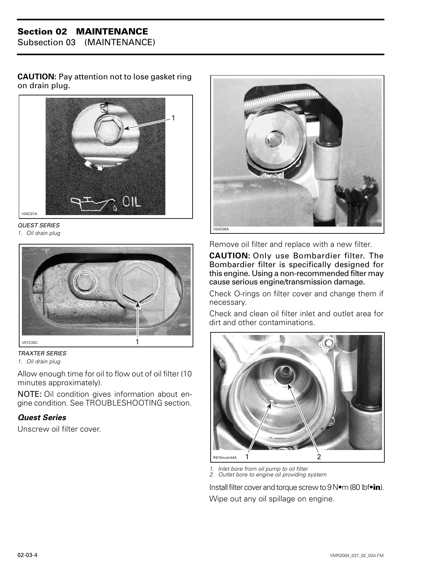Subsection 03 (MAINTENANCE)

**CAUTION:** Pay attention not to lose gasket ring on drain plug.



*QUEST SERIES 1. Oil drain plug*





Allow enough time for oil to flow out of oil filter (10 minutes approximately).

NOTE: Oil condition gives information about engine condition. See TROUBLESHOOTING section.

#### *Quest Series*

Unscrew oil filter cover.



Remove oil filter and replace with a new filter.

**CAUTION:** Only use Bombardier filter. The Bombardier filter is specifically designed for this engine. Using a non-recommended filter may cause serious engine/transmission damage.

Check O-rings on filter cover and change them if necessary.

Check and clean oil filter inlet and outlet area for dirt and other contaminations.



*1. Inlet bore from oil pump to oil filter 2. Outlet bore to engine oil providing system*

Install filter cover and torque screw to 9 N•m (80 lbf•**in**). Wipe out any oil spillage on engine.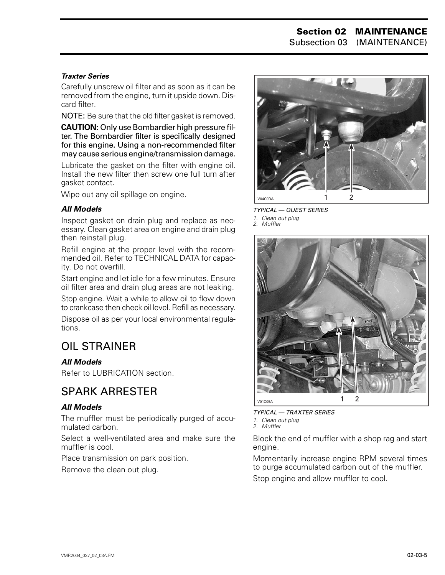#### <span id="page-8-0"></span>*Traxter Series*

Carefully unscrew oil filter and as soon as it can be removed from the engine, turn it upside down. Discard filter.

NOTE: Be sure that the old filter gasket is removed.

**CAUTION:** Only use Bombardier high pressure filter. The Bombardier filter is specifically designed for this engine. Using a non-recommended filter may cause serious engine/transmission damage.

Lubricate the gasket on the filter with engine oil. Install the new filter then screw one full turn after gasket contact.

Wipe out any oil spillage on engine.

#### *All Models*

Inspect gasket on drain plug and replace as necessary. Clean gasket area on engine and drain plug then reinstall plug.

Refill engine at the proper level with the recommended oil. Refer to TECHNICAL DATA for capacity. Do not overfill.

Start engine and let idle for a few minutes. Ensure oil filter area and drain plug areas are not leaking.

Stop engine. Wait a while to allow oil to flow down to crankcase then check oil level. Refill as necessary.

Dispose oil as per your local environmental regulations.

### OIL STRAINER

#### *All Models*

Refer to LUBRICATION section.

### SPARK ARRESTER

#### *All Models*

The muffler must be periodically purged of accumulated carbon.

Select a well-ventilated area and make sure the muffler is cool.

Place transmission on park position.

Remove the clean out plug.



*TYPICAL — QUEST SERIES 1. Clean out plug 2. Muffler*



*TYPICAL — TRAXTER SERIES 1. Clean out plug 2. Muffler*

Block the end of muffler with a shop rag and start engine.

Momentarily increase engine RPM several times to purge accumulated carbon out of the muffler.

Stop engine and allow muffler to cool.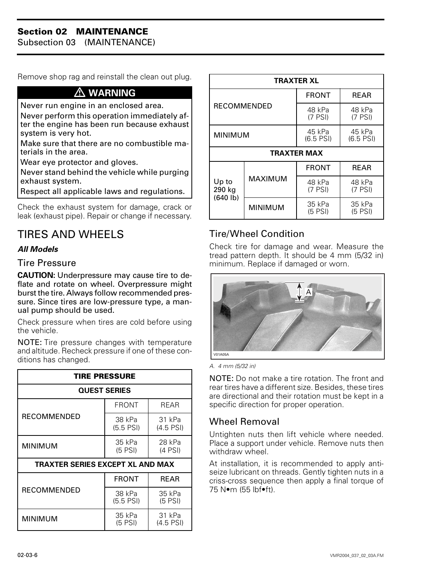<span id="page-9-0"></span>Subsection 03 (MAINTENANCE)

Remove shop rag and reinstall the clean out plug.

#### **WARNING**

Never run engine in an enclosed area.

Never perform this operation immediately after the engine has been run because exhaust system is very hot.

Make sure that there are no combustible materials in the area.

Wear eye protector and gloves.

Never stand behind the vehicle while purging exhaust system.

Respect all applicable laws and regulations.

Check the exhaust system for damage, crack or leak (exhaust pipe). Repair or change if necessary.

### TIRES AND WHEELS

#### *All Models*

#### Tire Pressure

**CAUTION:** Underpressure may cause tire to deflate and rotate on wheel. Overpressure might burst the tire. Always follow recommended pressure. Since tires are low-pressure type, a manual pump should be used.

Check pressure when tires are cold before using the vehicle.

NOTE: Tire pressure changes with temperature and altitude. Recheck pressure if one of these conditions has changed.

| <b>TIRE PRESSURE</b>             |                       |                       |  |  |  |  |  |  |
|----------------------------------|-----------------------|-----------------------|--|--|--|--|--|--|
|                                  | <b>QUEST SERIES</b>   |                       |  |  |  |  |  |  |
| <b>RECOMMENDED</b>               | <b>FRONT</b>          | RFAR                  |  |  |  |  |  |  |
|                                  | 38 kPa<br>$(5.5$ PSI) | 31 kPa<br>$(4.5$ PSI) |  |  |  |  |  |  |
| MINIMUM                          | 35 kPa<br>$(5$ PSI)   | 28 kPa<br>$(4$ PSI)   |  |  |  |  |  |  |
| TRAXTER SERIES EXCEPT XL AND MAX |                       |                       |  |  |  |  |  |  |
|                                  | <b>FRONT</b>          | REAR                  |  |  |  |  |  |  |
| <b>RECOMMENDED</b>               | 38 kPa<br>$(5.5$ PSI) | 35 kPa<br>$(5$ PSI)   |  |  |  |  |  |  |
| MINIMUM                          | 35 kPa<br>$(5$ PSI)   | 31 kPa<br>$(4.5$ PSI) |  |  |  |  |  |  |

| <b>TRAXTER XL</b>           |                |                       |                       |  |  |  |  |
|-----------------------------|----------------|-----------------------|-----------------------|--|--|--|--|
| <b>RECOMMENDED</b>          |                | <b>FRONT</b>          | <b>REAR</b>           |  |  |  |  |
|                             |                | 48 kPa<br>$(7$ PSI)   | 48 kPa<br>$(7$ PSI)   |  |  |  |  |
| <b>MINIMUM</b>              |                | 45 kPa<br>$(6.5$ PSI) | 45 kPa<br>$(6.5$ PSI) |  |  |  |  |
| TRAXTER MAX                 |                |                       |                       |  |  |  |  |
|                             |                | <b>FRONT</b>          | <b>REAR</b>           |  |  |  |  |
| Up to<br>290 kg<br>(640 lb) | <b>MAXIMUM</b> | 48 kPa<br>$(7$ PSI)   | 48 kPa<br>$(7$ PSI)   |  |  |  |  |
|                             | <b>MINIMUM</b> | 35 kPa<br>$(5$ PSI)   | 35 kPa<br>$(5$ PSI)   |  |  |  |  |

#### Tire/Wheel Condition

Check tire for damage and wear. Measure the tread pattern depth. It should be 4 mm (5/32 in) minimum. Replace if damaged or worn.



*A. 4 mm (5/32 in)*

NOTE: Do not make a tire rotation. The front and rear tires have a different size. Besides, these tires are directional and their rotation must be kept in a specific direction for proper operation.

#### Wheel Removal

Untighten nuts then lift vehicle where needed. Place a support under vehicle. Remove nuts then withdraw wheel.

At installation, it is recommended to apply antiseize lubricant on threads. Gently tighten nuts in a criss-cross sequence then apply a final torque of 75 N•m (55 lbf•ft).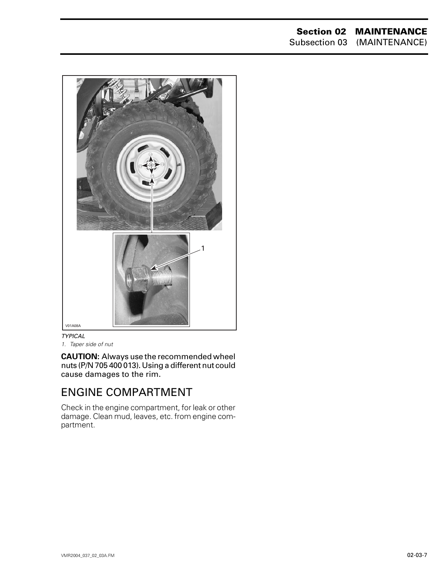#### **Section 02 MAINTENANCE** Subsection 03 (MAINTENANCE)

<span id="page-10-0"></span>*TYPICAL* V01A08A  $\overline{1}$ 

*1. Taper side of nut*

**CAUTION:** Always use the recommended wheel nuts (P/N 705 400 013). Using a different nut could cause damages to the rim.

### ENGINE COMPARTMENT

Check in the engine compartment, for leak or other damage. Clean mud, leaves, etc. from engine compartment.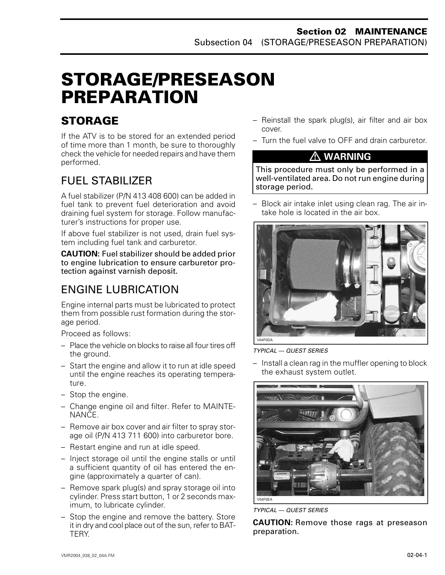## <span id="page-11-0"></span>**STORAGE/PRESEASON PREPARATION 0**

### **STORAGE**

If the ATV is to be stored for an extended period of time more than 1 month, be sure to thoroughly check the vehicle for needed repairs and have them performed.

### FUEL STABILIZER

A fuel stabilizer (P/N 413 408 600) can be added in fuel tank to prevent fuel deterioration and avoid draining fuel system for storage. Follow manufacturer's instructions for proper use.

If above fuel stabilizer is not used, drain fuel system including fuel tank and carburetor.

**CAUTION:** Fuel stabilizer should be added prior to engine lubrication to ensure carburetor protection against varnish deposit.

### ENGINE LUBRICATION

Engine internal parts must be lubricated to protect them from possible rust formation during the storage period.

Proceed as follows:

- Place the vehicle on blocks to raise all four tires off the ground.
- Start the engine and allow it to run at idle speed until the engine reaches its operating temperature.
- Stop the engine.
- Change engine oil and filter. Refer to MAINTE-NANCE.
- Remove air box cover and air filter to spray storage oil (P/N 413 711 600) into carburetor bore.
- Restart engine and run at idle speed.
- Inject storage oil until the engine stalls or until a sufficient quantity of oil has entered the engine (approximately a quarter of can).
- Remove spark plug(s) and spray storage oil into cylinder. Press start button, 1 or 2 seconds maximum, to lubricate cylinder.
- Stop the engine and remove the battery. Store it in dry and cool place out of the sun, refer to BAT-TERY.
- Reinstall the spark plug(s), air filter and air box cover.
- Turn the fuel valve to OFF and drain carburetor.

### **WARNING**

This procedure must only be performed in a well-ventilated area. Do not run engine during storage period.

– Block air intake inlet using clean rag. The air intake hole is located in the air box.



*TYPICAL — QUEST SERIES*

– Install a clean rag in the muffler opening to block the exhaust system outlet.



*TYPICAL — QUEST SERIES*

**CAUTION:** Remove those rags at preseason preparation.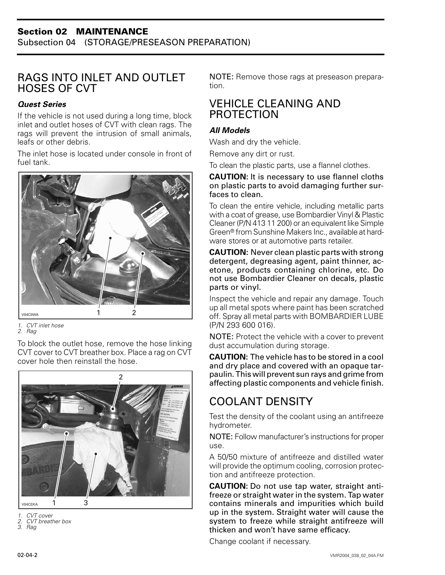### <span id="page-12-0"></span>RAGS INTO INLET AND OUTLET HOSES OF CVT

#### *Quest Series*

If the vehicle is not used during a long time, block inlet and outlet hoses of CVT with clean rags. The rags will prevent the intrusion of small animals, leafs or other debris.

The inlet hose is located under console in front of fuel tank.



*1. CVT inlet hose*

*2. Rag*

To block the outlet hose, remove the hose linking CVT cover to CVT breather box. Place a rag on CVT cover hole then reinstall the hose.



*1. CVT cover*

*2. CVT breather box*

*3. Rag*

NOTE: Remove those rags at preseason preparation.

### VEHICLE CLEANING AND **PROTECTION**

#### *All Models*

Wash and dry the vehicle.

Remove any dirt or rust.

To clean the plastic parts, use a flannel clothes.

#### **CAUTION:** It is necessary to use flannel cloths on plastic parts to avoid damaging further surfaces to clean.

To clean the entire vehicle, including metallic parts with a coat of grease, use Bombardier Vinyl & Plastic Cleaner (P/N 413 11 200) or an equivalent like Simple Green® from Sunshine Makers Inc., available at hardware stores or at automotive parts retailer.

**CAUTION:** Never clean plastic parts with strong detergent, degreasing agent, paint thinner, acetone, products containing chlorine, etc. Do not use Bombardier Cleaner on decals, plastic parts or vinyl.

Inspect the vehicle and repair any damage. Touch up all metal spots where paint has been scratched off. Spray all metal parts with BOMBARDIER LUBE (P/N 293 600 016).

NOTE: Protect the vehicle with a cover to prevent dust accumulation during storage.

**CAUTION:** The vehicle has to be stored in a cool and dry place and covered with an opaque tarpaulin. This will prevent sun rays and grime from affecting plastic components and vehicle finish.

### COOLANT DENSITY

Test the density of the coolant using an antifreeze hydrometer.

NOTE: Follow manufacturer's instructions for proper use.

A 50/50 mixture of antifreeze and distilled water will provide the optimum cooling, corrosion protection and antifreeze protection.

**CAUTION:** Do not use tap water, straight antifreeze or straight water in the system. Tap water contains minerals and impurities which build up in the system. Straight water will cause the system to freeze while straight antifreeze will thicken and won't have same efficacy.

Change coolant if necessary.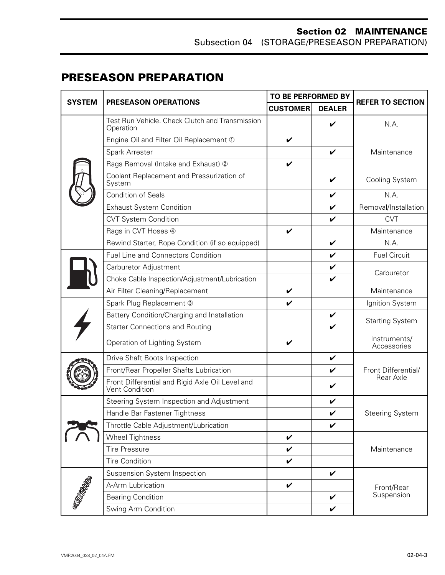#### **Section 02 MAINTENANCE** Subsection 04 (STORAGE/PRESEASON PREPARATION)

### <span id="page-13-0"></span>**PRESEASON PREPARATION**

| <b>SYSTEM</b>  | PRESEASON OPERATIONS                                              | TO BE PERFORMED BY |                    |                             |  |
|----------------|-------------------------------------------------------------------|--------------------|--------------------|-----------------------------|--|
|                |                                                                   | <b>CUSTOMER</b>    | <b>DEALER</b>      | <b>REFER TO SECTION</b>     |  |
|                | Test Run Vehicle. Check Clutch and Transmission<br>Operation      |                    | V                  | N.A.                        |  |
|                | Engine Oil and Filter Oil Replacement 1                           | V                  |                    |                             |  |
|                | Spark Arrester                                                    |                    | V                  | Maintenance                 |  |
|                | Rags Removal (Intake and Exhaust) 2                               | V                  |                    |                             |  |
|                | Coolant Replacement and Pressurization of<br>System               |                    | V                  | Cooling System              |  |
|                | <b>Condition of Seals</b>                                         |                    | V                  | N.A.                        |  |
|                | <b>Exhaust System Condition</b>                                   |                    | $\checkmark$       | Removal/Installation        |  |
|                | <b>CVT System Condition</b>                                       |                    | $\checkmark$       | <b>CVT</b>                  |  |
|                | Rags in CVT Hoses 4                                               | V                  |                    | Maintenance                 |  |
|                | Rewind Starter, Rope Condition (if so equipped)                   |                    | $\checkmark$       | N.A.                        |  |
|                | <b>Fuel Line and Connectors Condition</b>                         |                    | $\checkmark$       | <b>Fuel Circuit</b>         |  |
|                | Carburetor Adjustment                                             |                    | $\checkmark$       | Carburetor                  |  |
|                | Choke Cable Inspection/Adjustment/Lubrication                     |                    | $\checkmark$       |                             |  |
|                | Air Filter Cleaning/Replacement                                   | V                  |                    | Maintenance                 |  |
|                | Spark Plug Replacement 3                                          | V                  |                    | Ignition System             |  |
|                | Battery Condition/Charging and Installation                       |                    | V                  | <b>Starting System</b>      |  |
|                | <b>Starter Connections and Routing</b>                            |                    | $\checkmark$       |                             |  |
|                | Operation of Lighting System                                      | V                  |                    | Instruments/<br>Accessories |  |
|                | Drive Shaft Boots Inspection                                      |                    | V                  |                             |  |
|                | Front/Rear Propeller Shafts Lubrication                           |                    | $\checkmark$       | Front Differential/         |  |
|                | Front Differential and Rigid Axle Oil Level and<br>Vent Condition |                    | V                  | Rear Axle                   |  |
|                | Steering System Inspection and Adjustment                         |                    | V                  |                             |  |
|                | Handle Bar Fastener Tightness                                     |                    | V                  | <b>Steering System</b>      |  |
|                | Throttle Cable Adjustment/Lubrication                             |                    | V                  |                             |  |
|                | <b>Wheel Tightness</b>                                            | V                  |                    |                             |  |
|                | <b>Tire Pressure</b>                                              | V                  |                    | Maintenance                 |  |
|                | <b>Tire Condition</b>                                             | V                  |                    |                             |  |
| <b>MARABAS</b> | Suspension System Inspection                                      |                    | $\boldsymbol{\nu}$ |                             |  |
|                | A-Arm Lubrication                                                 | V                  |                    | Front/Rear                  |  |
|                | <b>Bearing Condition</b>                                          |                    | $\checkmark$       | Suspension                  |  |
|                | Swing Arm Condition                                               |                    | $\checkmark$       |                             |  |